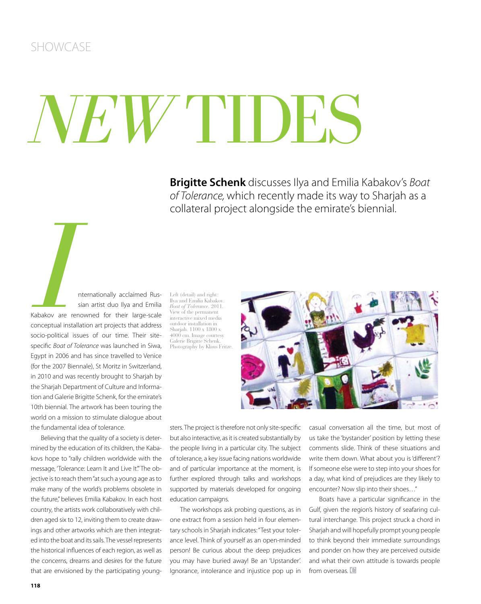## *NEW* TIDES

**Brigitte Schenk** discusses Ilya and Emilia Kabakov's Boat of Tolerance, which recently made its way to Sharjah as a collateral project alongside the emirate's biennial.

**III**<br> **III**<br> **III**<br> **III**<br> **III**<br> **III**<br> **III**<br> **III**<br> **III**<br> **III**<br> **III**<br> **III**<br> **III**<br> **III**<br> **IIII**<br> **IIII**<br> **IIII**<br> **IIII**<br> **IIII**<br> **IIII**<br> **IIIII**<br> **IIII**<br> **IIII**<br> **IIII**<br> **IIII**<br> **IIII**<br> **IIII**<br> **IIII**<br> **IIII**<br> **II** sian artist duo Ilya and Emilia Kabakov are renowned for their large-scale conceptual installation art projects that address socio-political issues of our time. Their sitespecific Boat of Tolerance was launched in Siwa, Egypt in 2006 and has since travelled to Venice (for the 2007 Biennale), St Moritz in Switzerland, in 2010 and was recently brought to Sharjah by the Sharjah Department of Culture and Information and Galerie Brigitte Schenk, for the emirate's 10th biennial. The artwork has been touring the world on a mission to stimulate dialogue about the fundamental idea of tolerance.

Believing that the quality of a society is determined by the education of its children, the Kabakovs hope to "rally children worldwide with the message, 'Tolerance: Learn It and Live It." The objective is to reach them "at such a young age as to make many of the world's problems obsolete in the future," believes Emilia Kabakov. In each host country, the artists work collaboratively with children aged six to 12, inviting them to create drawings and other artworks which are then integrated into the boat and its sails. The vessel represents the historical influences of each region, as well as the concerns, dreams and desires for the future that are envisioned by the participating young-

Left (detail) and right: Ilya and Emilia Kabakov. *Boat of Tolerance*. 2011. View of the permanent interactive mixed media outdoor installation in Sharjah. 1100 x 1800 x 4000 cm. Image courtesy Galerie Brigitte Schenk. Photography by Klaus Fritze.



sters. The project is therefore not only site-specific but also interactive, as it is created substantially by the people living in a particular city. The subject of tolerance, a key issue facing nations worldwide and of particular importance at the moment, is further explored through talks and workshops supported by materials developed for ongoing education campaigns.

The workshops ask probing questions, as in one extract from a session held in four elementary schools in Sharjah indicates: "Test your tolerance level. Think of yourself as an open-minded person! Be curious about the deep prejudices you may have buried away! Be an 'Upstander'. Ignorance, intolerance and injustice pop up in casual conversation all the time, but most of us take the 'bystander' position by letting these comments slide. Think of these situations and write them down. What about you is 'different'? If someone else were to step into your shoes for a day, what kind of prejudices are they likely to encounter? Now slip into their shoes…"

Boats have a particular significance in the Gulf, given the region's history of seafaring cultural interchange. This project struck a chord in Sharjah and will hopefully prompt young people to think beyond their immediate surroundings and ponder on how they are perceived outside and what their own attitude is towards people from overseas. C